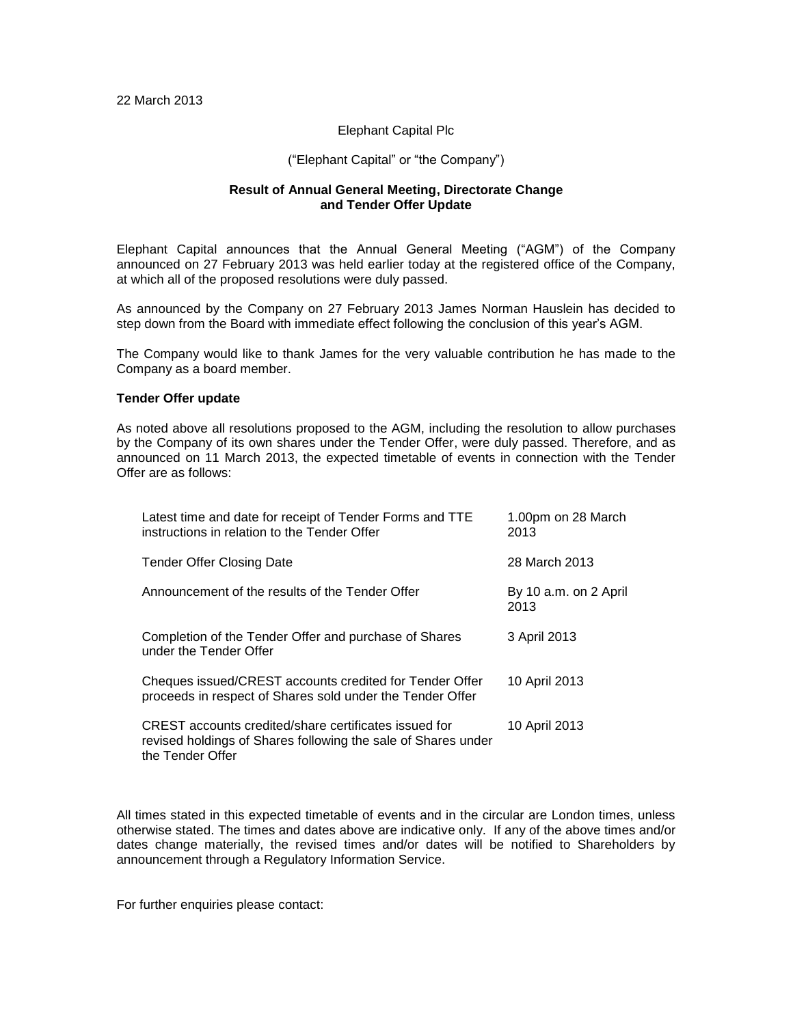## Elephant Capital Plc

## ("Elephant Capital" or "the Company")

## **Result of Annual General Meeting, Directorate Change and Tender Offer Update**

Elephant Capital announces that the Annual General Meeting ("AGM") of the Company announced on 27 February 2013 was held earlier today at the registered office of the Company, at which all of the proposed resolutions were duly passed.

As announced by the Company on 27 February 2013 James Norman Hauslein has decided to step down from the Board with immediate effect following the conclusion of this year's AGM.

The Company would like to thank James for the very valuable contribution he has made to the Company as a board member.

## **Tender Offer update**

As noted above all resolutions proposed to the AGM, including the resolution to allow purchases by the Company of its own shares under the Tender Offer, were duly passed. Therefore, and as announced on 11 March 2013, the expected timetable of events in connection with the Tender Offer are as follows:

| Latest time and date for receipt of Tender Forms and TTE<br>instructions in relation to the Tender Offer                                   | 1.00pm on 28 March<br>2013    |
|--------------------------------------------------------------------------------------------------------------------------------------------|-------------------------------|
| Tender Offer Closing Date                                                                                                                  | 28 March 2013                 |
| Announcement of the results of the Tender Offer                                                                                            | By 10 a.m. on 2 April<br>2013 |
| Completion of the Tender Offer and purchase of Shares<br>under the Tender Offer                                                            | 3 April 2013                  |
| Cheques issued/CREST accounts credited for Tender Offer<br>proceeds in respect of Shares sold under the Tender Offer                       | 10 April 2013                 |
| CREST accounts credited/share certificates issued for<br>revised holdings of Shares following the sale of Shares under<br>the Tender Offer | 10 April 2013                 |

All times stated in this expected timetable of events and in the circular are London times, unless otherwise stated. The times and dates above are indicative only. If any of the above times and/or dates change materially, the revised times and/or dates will be notified to Shareholders by announcement through a Regulatory Information Service.

For further enquiries please contact: